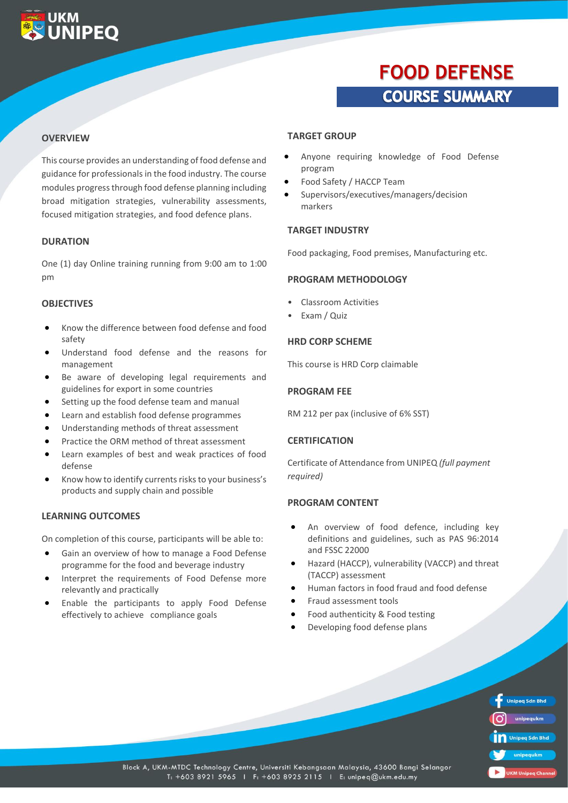### **UKM UNIPEO**

## **FOOD DEFENSE COURSE SUMMARY**

#### **OVERVIEW**

This course provides an understanding of food defense and guidance for professionals in the food industry. The course modules progress through food defense planning including broad mitigation strategies, vulnerability assessments, focused mitigation strategies, and food defence plans.

#### **DURATION**

One (1) day Online training running from 9:00 am to 1:00 pm

#### **OBJECTIVES**

- Know the difference between food defense and food safety
- Understand food defense and the reasons for management
- Be aware of developing legal requirements and guidelines for export in some countries
- Setting up the food defense team and manual
- Learn and establish food defense programmes
- Understanding methods of threat assessment
- Practice the ORM method of threat assessment
- Learn examples of best and weak practices of food defense
- Know how to identify currents risks to your business's products and supply chain and possible

#### **LEARNING OUTCOMES**

On completion of this course, participants will be able to:

- Gain an overview of how to manage a Food Defense programme for the food and beverage industry
- Interpret the requirements of Food Defense more relevantly and practically
- Enable the participants to apply Food Defense effectively to achieve compliance goals

#### **TARGET GROUP**

- Anyone requiring knowledge of Food Defense program
- Food Safety / HACCP Team
- Supervisors/executives/managers/decision markers

#### **TARGET INDUSTRY**

Food packaging, Food premises, Manufacturing etc.

#### **PROGRAM METHODOLOGY**

- Classroom Activities
- Exam / Quiz

#### **HRD CORP SCHEME**

This course is HRD Corp claimable

#### **PROGRAM FEE**

RM 212 per pax (inclusive of 6% SST)

#### **CERTIFICATION**

Certificate of Attendance from UNIPEQ *(full payment required)*

#### **PROGRAM CONTENT**

- An overview of food defence, including key definitions and guidelines, such as PAS 96:2014 and FSSC 22000
- Hazard (HACCP), vulnerability (VACCP) and threat (TACCP) assessment
- Human factors in food fraud and food defense
- Fraud assessment tools
- Food authenticity & Food testing
- Developing food defense plans

|    | <b>Unipeg Sdn Bhd</b> |
|----|-----------------------|
|    | unipequkm             |
| In | <b>Unipeq Sdn Bhd</b> |
|    | unipequkm             |
|    | Milninga<br>hann      |

Block A, UKM-MTDC Technology Centre, Universiti Kebangsaan Malaysia, 43600 Bangi Selangor T: +603 8921 5965 | F: +603 8925 2115 | E: unipeq@ukm.edu.my